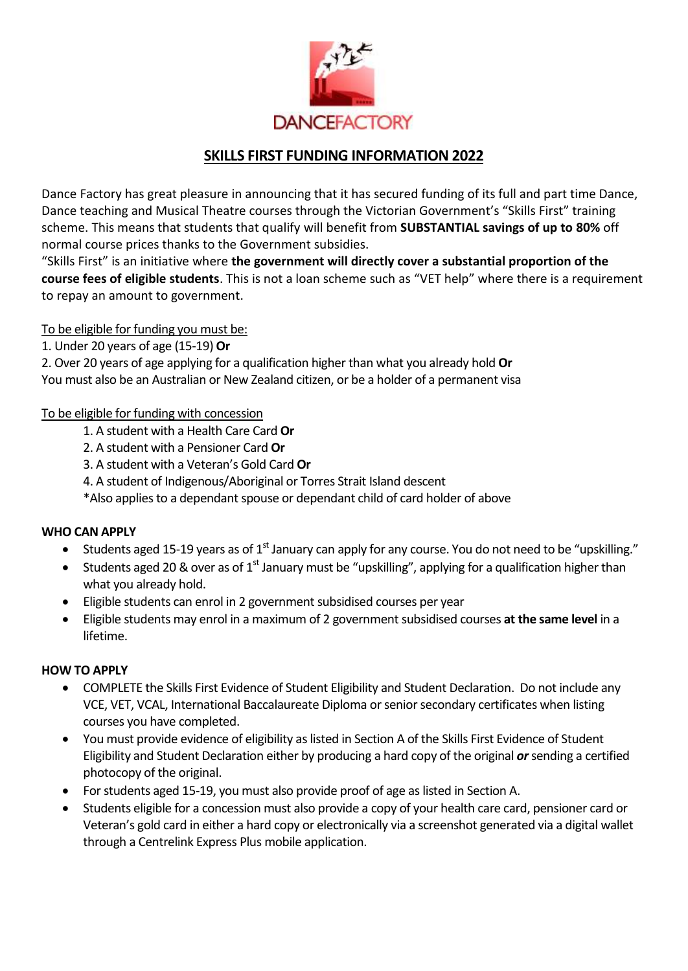

# **SKILLS FIRST FUNDING INFORMATION 2022**

Dance Factory has great pleasure in announcing that it has secured funding of its full and part time Dance, Dance teaching and Musical Theatre courses through the Victorian Government's "Skills First" training scheme. This means that students that qualify will benefit from **SUBSTANTIAL savings of up to 80%** off normal course prices thanks to the Government subsidies.

"Skills First" is an initiative where **the government will directly cover a substantial proportion of the course fees of eligible students**. This is not a loan scheme such as "VET help" where there is a requirement to repay an amount to government.

# To be eligible for funding you must be:

1. Under 20 years of age (15-19) **Or**

2. Over 20 years of age applying for a qualification higher than what you already hold **Or** You must also be an Australian or New Zealand citizen, or be a holder of a permanent visa

## To be eligible for funding with concession

- 1. A student with a Health Care Card **Or**
- 2. A student with a Pensioner Card **Or**
- 3. A student with a Veteran's Gold Card **Or**
- 4. A student of Indigenous/Aboriginal or Torres Strait Island descent
- \*Also applies to a dependant spouse or dependant child of card holder of above

## **WHO CAN APPLY**

- Students aged 15-19 years as of  $1<sup>st</sup>$  January can apply for any course. You do not need to be "upskilling."
- Students aged 20 & over as of 1<sup>st</sup> January must be "upskilling", applying for a qualification higher than what you already hold.
- Eligible students can enrol in 2 government subsidised courses per year
- Eligible students may enrol in a maximum of 2 government subsidised courses **at the same level** in a lifetime.

## **HOW TO APPLY**

- COMPLETE the Skills First Evidence of Student Eligibility and Student Declaration. Do not include any VCE, VET, VCAL, International Baccalaureate Diploma or senior secondary certificates when listing courses you have completed.
- You must provide evidence of eligibility as listed in Section A of the Skills First Evidence of Student Eligibility and Student Declaration either by producing a hard copy of the original *or*sending a certified photocopy of the original.
- For students aged 15-19, you must also provide proof of age as listed in Section A.
- Students eligible for a concession must also provide a copy of your health care card, pensioner card or Veteran's gold card in either a hard copy or electronically via a screenshot generated via a digital wallet through a Centrelink Express Plus mobile application.